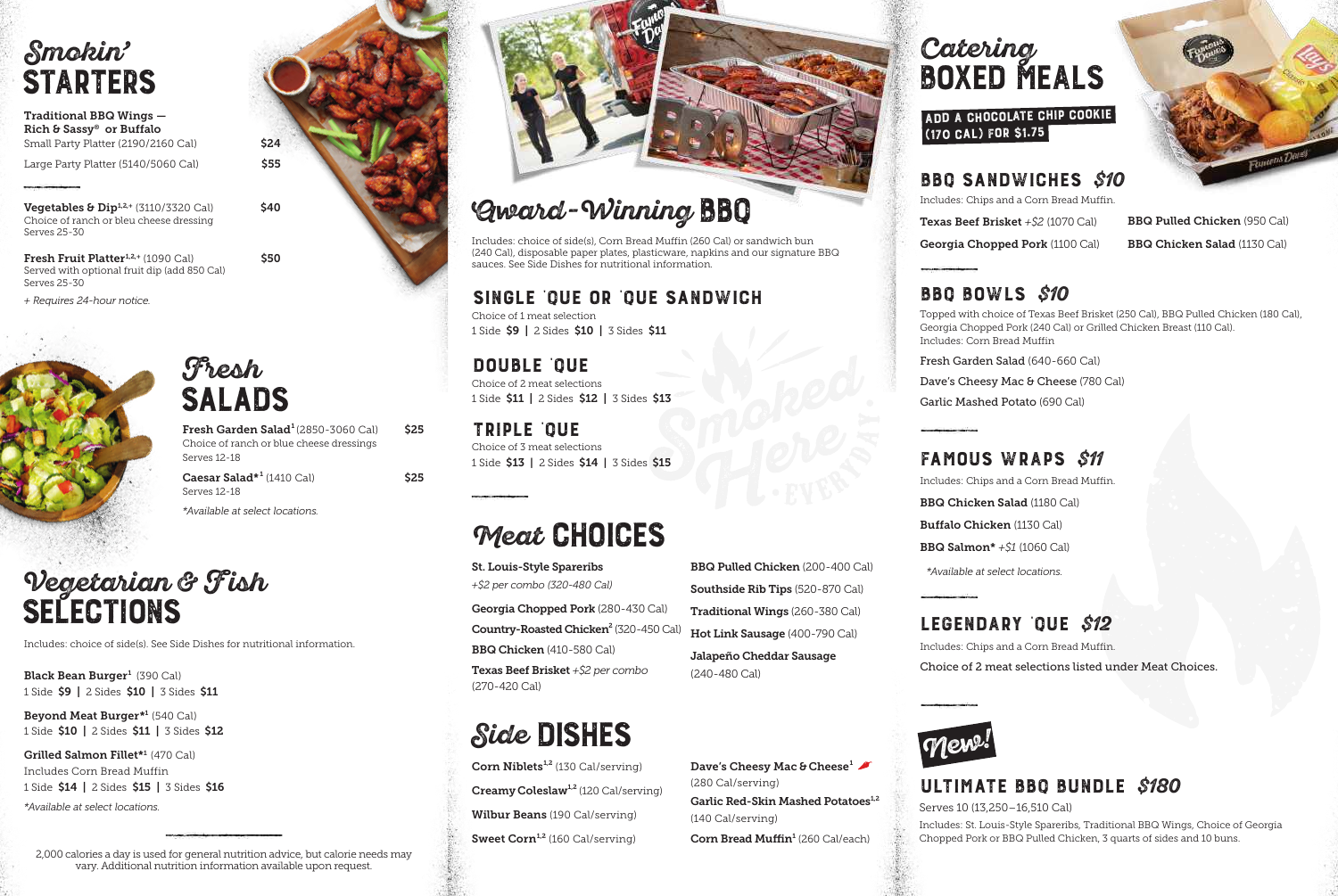# **Smokin'**

Traditional BBQ Wings — Rich & Sassy® or Buffalo Small Party Platter (2190/2160 Cal) \$24

Large Party Platter  $(5140/5060 \text{ Cal})$  \$55

**Vegetables & Dip**<sup>1,2,+</sup> (3110/3320 Cal)  $$40$ Choice of ranch or bleu cheese dressing Serves 25-30

**Fresh Fruit Platter**<sup>1,2,+</sup> (1090 Cal)  $$\sf$50$ Served with optional fruit dip (add 850 Cal) Serves 25-30

*+ Requires 24-hour notice.*



### **Fresh SALADS**

| Fresh Garden Salad <sup>1</sup> (2850-3060 Cal) | \$25 |
|-------------------------------------------------|------|
| Choice of ranch or blue cheese dressings        |      |
| Serves 12-18                                    |      |
|                                                 |      |

 $\textsf{Caesar Salad*}^{1}\,(1410\text{ Cal})$  \$25 Serves 12-18 *\*Available at select locations.*

# **Vegetarian & Fish SELECTIONS**

Includes: choice of side(s). See Side Dishes for nutritional information.

Black Bean Burger<sup>1</sup> (390 Cal) 1 Side \$9 | 2 Sides \$10 | 3 Sides \$11

Beyond Meat Burger<sup>\*1</sup> (540 Cal) 1 Side \$10 | 2 Sides \$11 | 3 Sides \$12

Grilled Salmon Fillet\*1 (470 Cal) Includes Corn Bread Muffin 1 Side \$14 | 2 Sides \$15 | 3 Sides \$16

*\*Available at select locations.*

2,000 calories a day is used for general nutrition advice, but calorie needs may vary. Additional nutrition information available upon request.



# **Award -Winning BBQ**

Includes: choice of side(s), Corn Bread Muffin (260 Cal) or sandwich bun (240 Cal), disposable paper plates, plasticware, napkins and our signature BBQ sauces. See Side Dishes for nutritional information.

#### **SINGLE 'QUE or 'QUE SANDWICH**

Choice of 1 meat selection 1 Side \$9 | 2 Sides \$10 | 3 Sides \$11

**DOUBLE 'QUE**

Choice of 2 meat selections 1 Side \$11 | 2 Sides \$12 | 3 Sides \$13

**TRIPLE 'QUE** Choice of 3 meat selections 1 Side \$13 | 2 Sides \$14 | 3 Sides \$15

# **Meat CHOICES**

St. Louis-Style Spareribs *+\$2 per combo (320-480 Cal)* Georgia Chopped Pork (280-430 Cal) Country-Roasted Chicken<sup>2</sup> (320-450 Cal) BBQ Chicken (410-580 Cal) Texas Beef Brisket *+\$2 per combo* (270-420 Cal)

# **Side DISHES**

**Corn Niblets**<sup>1,2</sup> (130 Cal/serving) **Creamy Coleslaw**<sup>1,2</sup> (120 Cal/serving) Wilbur Beans (190 Cal/serving) Sweet Corn<sup>1,2</sup> (160 Cal/serving)

BBQ Pulled Chicken (200-400 Cal) Southside Rib Tips (520-870 Cal) Traditional Wings (260-380 Cal) Hot Link Sausage (400-790 Cal) Jalapeño Cheddar Sausage (240-480 Cal)

Dave's Cheesy Mac & Cheese<sup>1</sup> (280 Cal/serving) Garlic Red-Skin Mashed Potatoes<sup>1,2</sup> (140 Cal/serving) Corn Bread Muffin<sup>1</sup> (260 Cal/each)

### **STARTERS BOXED MEALS Catering**

#### **Add a Chocolate Chip Cookie (170 cal) for \$1.75**

#### **BBQ SANDWICHES \$10**

Includes: Chips and a Corn Bread Muffin.

Texas Beef Brisket *+\$2* (1070 Cal) Georgia Chopped Pork (1100 Cal)

BBQ Pulled Chicken (950 Cal) BBQ Chicken Salad (1130 Cal)

#### **BBQ BOWLS \$10**

Topped with choice of Texas Beef Brisket (250 Cal), BBQ Pulled Chicken (180 Cal), Georgia Chopped Pork (240 Cal) or Grilled Chicken Breast (110 Cal). Includes: Corn Bread Muffin

Fresh Garden Salad (640-660 Cal)

Dave's Cheesy Mac & Cheese (780 Cal)

Garlic Mashed Potato (690 Cal)

#### **FAMOUS WRAPS \$11**

Includes: Chips and a Corn Bread Muffin. BBQ Chicken Salad (1180 Cal)

Buffalo Chicken (1130 Cal)

BBQ Salmon\* *+\$1* (1060 Cal)

*\*Available at select locations.*

#### **LEGENDARY 'QUE \$12**

Includes: Chips and a Corn Bread Muffin. Choice of 2 meat selections listed under Meat Choices.



#### **ULTIMATE BBQ BUNDLE \$180**

Serves 10 (13,250–16,510 Cal)

Includes: St. Louis-Style Spareribs, Traditional BBQ Wings, Choice of Georgia Chopped Pork or BBQ Pulled Chicken, 3 quarts of sides and 10 buns.